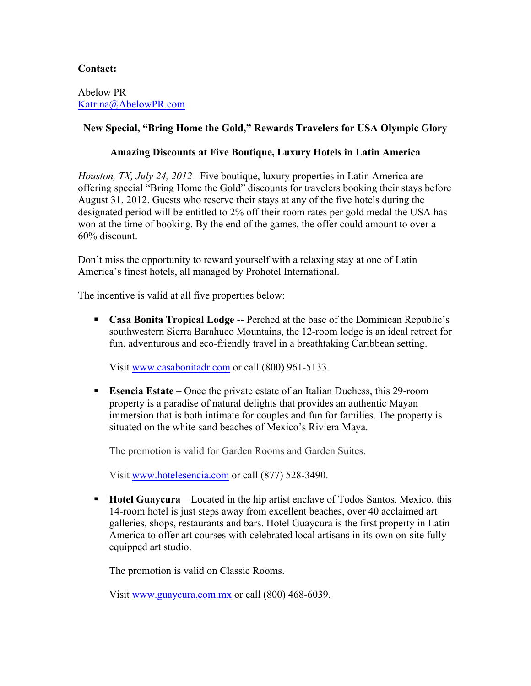## **Contact:**

Abelow PR Katrina@AbelowPR.com

## **New Special, "Bring Home the Gold," Rewards Travelers for USA Olympic Glory**

## **Amazing Discounts at Five Boutique, Luxury Hotels in Latin America**

*Houston, TX, July 24, 2012* –Five boutique, luxury properties in Latin America are offering special "Bring Home the Gold" discounts for travelers booking their stays before August 31, 2012. Guests who reserve their stays at any of the five hotels during the designated period will be entitled to 2% off their room rates per gold medal the USA has won at the time of booking. By the end of the games, the offer could amount to over a 60% discount.

Don't miss the opportunity to reward yourself with a relaxing stay at one of Latin America's finest hotels, all managed by Prohotel International.

The incentive is valid at all five properties below:

§ **Casa Bonita Tropical Lodge** -- Perched at the base of the Dominican Republic's southwestern Sierra Barahuco Mountains, the 12-room lodge is an ideal retreat for fun, adventurous and eco-friendly travel in a breathtaking Caribbean setting.

Visit www.casabonitadr.com or call (800) 961-5133.

■ **Esencia Estate** – Once the private estate of an Italian Duchess, this 29-room property is a paradise of natural delights that provides an authentic Mayan immersion that is both intimate for couples and fun for families. The property is situated on the white sand beaches of Mexico's Riviera Maya.

The promotion is valid for Garden Rooms and Garden Suites.

Visit www.hotelesencia.com or call (877) 528-3490.

§ **Hotel Guaycura** – Located in the hip artist enclave of Todos Santos, Mexico, this 14-room hotel is just steps away from excellent beaches, over 40 acclaimed art galleries, shops, restaurants and bars. Hotel Guaycura is the first property in Latin America to offer art courses with celebrated local artisans in its own on-site fully equipped art studio.

The promotion is valid on Classic Rooms.

Visit www.guaycura.com.mx or call (800) 468-6039.